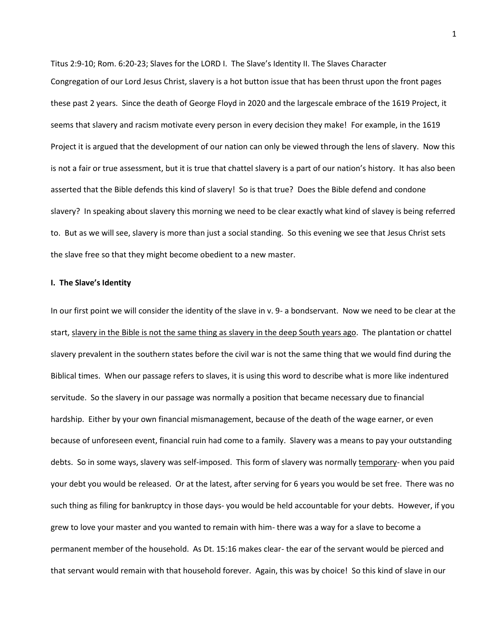Titus 2:9-10; Rom. 6:20-23; Slaves for the LORD I. The Slave's Identity II. The Slaves Character Congregation of our Lord Jesus Christ, slavery is a hot button issue that has been thrust upon the front pages these past 2 years. Since the death of George Floyd in 2020 and the largescale embrace of the 1619 Project, it seems that slavery and racism motivate every person in every decision they make! For example, in the 1619 Project it is argued that the development of our nation can only be viewed through the lens of slavery. Now this is not a fair or true assessment, but it is true that chattel slavery is a part of our nation's history. It has also been asserted that the Bible defends this kind of slavery! So is that true? Does the Bible defend and condone slavery? In speaking about slavery this morning we need to be clear exactly what kind of slavey is being referred to. But as we will see, slavery is more than just a social standing. So this evening we see that Jesus Christ sets the slave free so that they might become obedient to a new master.

## **I. The Slave's Identity**

In our first point we will consider the identity of the slave in v. 9- a bondservant. Now we need to be clear at the start, slavery in the Bible is not the same thing as slavery in the deep South years ago. The plantation or chattel slavery prevalent in the southern states before the civil war is not the same thing that we would find during the Biblical times. When our passage refers to slaves, it is using this word to describe what is more like indentured servitude. So the slavery in our passage was normally a position that became necessary due to financial hardship. Either by your own financial mismanagement, because of the death of the wage earner, or even because of unforeseen event, financial ruin had come to a family. Slavery was a means to pay your outstanding debts. So in some ways, slavery was self-imposed. This form of slavery was normally temporary- when you paid your debt you would be released. Or at the latest, after serving for 6 years you would be set free. There was no such thing as filing for bankruptcy in those days- you would be held accountable for your debts. However, if you grew to love your master and you wanted to remain with him- there was a way for a slave to become a permanent member of the household. As Dt. 15:16 makes clear- the ear of the servant would be pierced and that servant would remain with that household forever. Again, this was by choice! So this kind of slave in our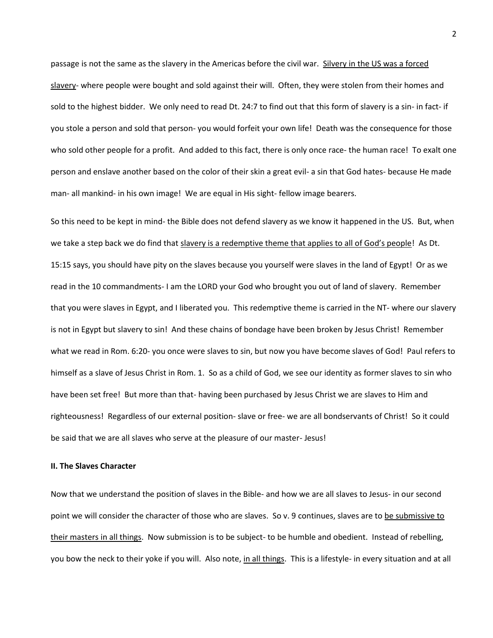passage is not the same as the slavery in the Americas before the civil war. Silvery in the US was a forced slavery- where people were bought and sold against their will. Often, they were stolen from their homes and sold to the highest bidder. We only need to read Dt. 24:7 to find out that this form of slavery is a sin- in fact- if you stole a person and sold that person- you would forfeit your own life! Death was the consequence for those who sold other people for a profit. And added to this fact, there is only once race- the human race! To exalt one person and enslave another based on the color of their skin a great evil- a sin that God hates- because He made man- all mankind- in his own image! We are equal in His sight- fellow image bearers.

So this need to be kept in mind- the Bible does not defend slavery as we know it happened in the US. But, when we take a step back we do find that slavery is a redemptive theme that applies to all of God's people! As Dt. 15:15 says, you should have pity on the slaves because you yourself were slaves in the land of Egypt! Or as we read in the 10 commandments- I am the LORD your God who brought you out of land of slavery. Remember that you were slaves in Egypt, and I liberated you. This redemptive theme is carried in the NT- where our slavery is not in Egypt but slavery to sin! And these chains of bondage have been broken by Jesus Christ! Remember what we read in Rom. 6:20- you once were slaves to sin, but now you have become slaves of God! Paul refers to himself as a slave of Jesus Christ in Rom. 1. So as a child of God, we see our identity as former slaves to sin who have been set free! But more than that- having been purchased by Jesus Christ we are slaves to Him and righteousness! Regardless of our external position- slave or free- we are all bondservants of Christ! So it could be said that we are all slaves who serve at the pleasure of our master- Jesus!

## **II. The Slaves Character**

Now that we understand the position of slaves in the Bible- and how we are all slaves to Jesus- in our second point we will consider the character of those who are slaves. So v. 9 continues, slaves are to be submissive to their masters in all things. Now submission is to be subject- to be humble and obedient. Instead of rebelling, you bow the neck to their yoke if you will. Also note, in all things. This is a lifestyle- in every situation and at all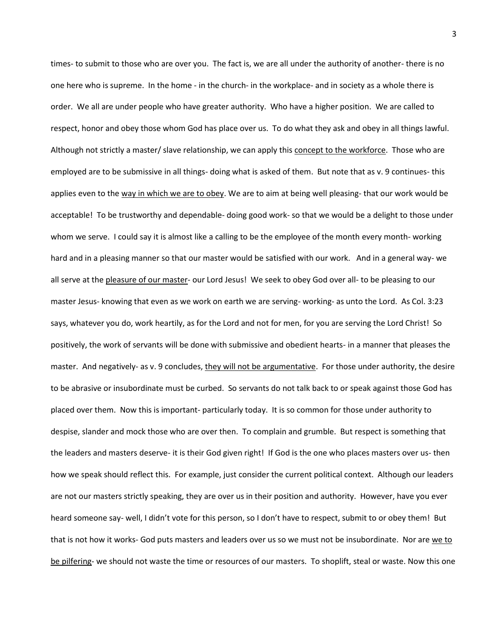times- to submit to those who are over you. The fact is, we are all under the authority of another- there is no one here who is supreme. In the home - in the church- in the workplace- and in society as a whole there is order. We all are under people who have greater authority. Who have a higher position. We are called to respect, honor and obey those whom God has place over us. To do what they ask and obey in all things lawful. Although not strictly a master/ slave relationship, we can apply this concept to the workforce. Those who are employed are to be submissive in all things- doing what is asked of them. But note that as v. 9 continues- this applies even to the way in which we are to obey. We are to aim at being well pleasing- that our work would be acceptable! To be trustworthy and dependable- doing good work- so that we would be a delight to those under whom we serve. I could say it is almost like a calling to be the employee of the month every month- working hard and in a pleasing manner so that our master would be satisfied with our work. And in a general way- we all serve at the pleasure of our master- our Lord Jesus! We seek to obey God over all- to be pleasing to our master Jesus- knowing that even as we work on earth we are serving- working- as unto the Lord. As Col. 3:23 says, whatever you do, work heartily, as for the Lord and not for men, for you are serving the Lord Christ! So positively, the work of servants will be done with submissive and obedient hearts- in a manner that pleases the master. And negatively- as v. 9 concludes, they will not be argumentative. For those under authority, the desire to be abrasive or insubordinate must be curbed. So servants do not talk back to or speak against those God has placed over them. Now this is important- particularly today. It is so common for those under authority to despise, slander and mock those who are over then. To complain and grumble. But respect is something that the leaders and masters deserve- it is their God given right! If God is the one who places masters over us- then how we speak should reflect this. For example, just consider the current political context. Although our leaders are not our masters strictly speaking, they are over us in their position and authority. However, have you ever heard someone say- well, I didn't vote for this person, so I don't have to respect, submit to or obey them! But that is not how it works- God puts masters and leaders over us so we must not be insubordinate. Nor are we to be pilfering- we should not waste the time or resources of our masters. To shoplift, steal or waste. Now this one